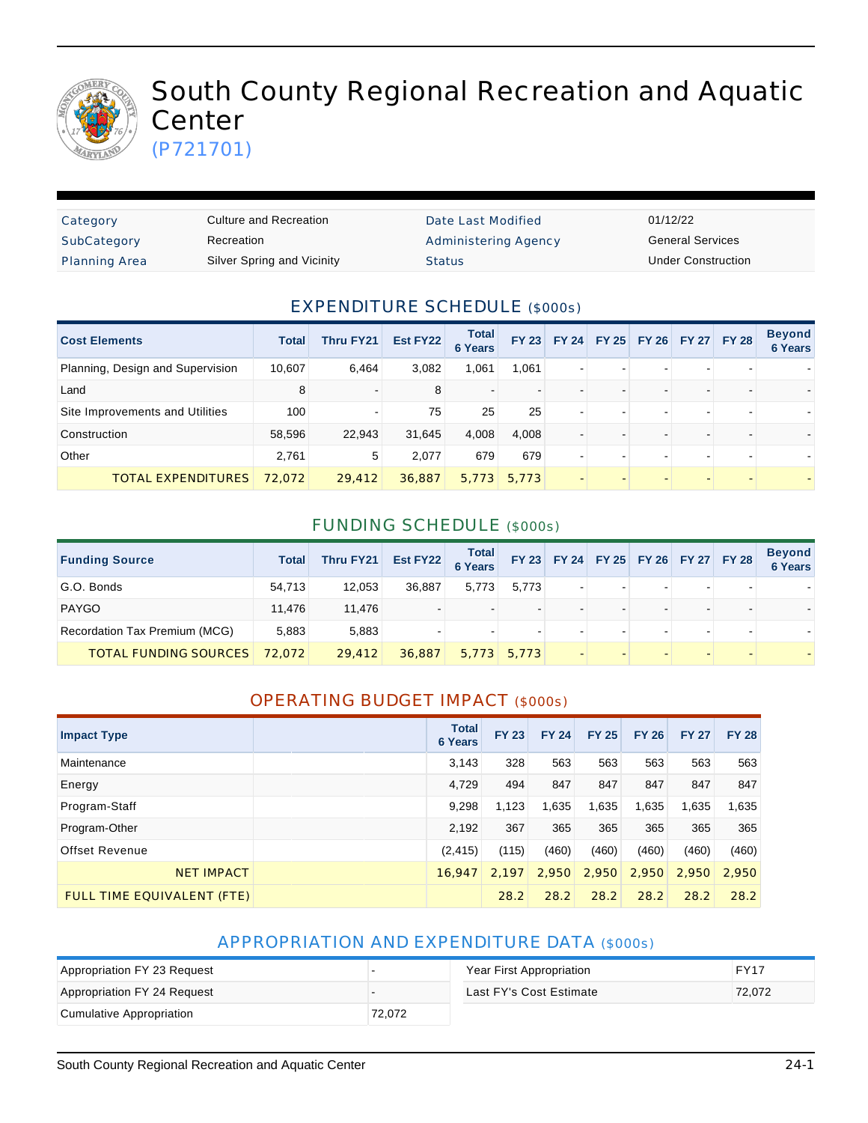

# South County Regional Recreation and Aquatic **Center**

(P721701)

| Category             | Culture and Recreation     | Date Last Modified   | 01/12/22                  |
|----------------------|----------------------------|----------------------|---------------------------|
| SubCategory          | Recreation                 | Administering Agency | <b>General Services</b>   |
| <b>Planning Area</b> | Silver Spring and Vicinity | <b>Status</b>        | <b>Under Construction</b> |

#### EXPENDITURE SCHEDULE (\$000s)

| <b>Cost Elements</b>             | <b>Total</b> | Thru FY21 | Est FY22 | <b>Total</b><br><b>6 Years</b> | <b>FY 23</b> | <b>FY 24</b>             | FY 25 FY 26 FY 27 FY 28 |  | <b>Beyond</b><br><b>6 Years</b> |
|----------------------------------|--------------|-----------|----------|--------------------------------|--------------|--------------------------|-------------------------|--|---------------------------------|
| Planning, Design and Supervision | 10,607       | 6,464     | 3,082    | 1,061                          | 1,061        | $\overline{\phantom{0}}$ |                         |  |                                 |
| Land                             | 8            |           | 8        |                                |              |                          |                         |  |                                 |
| Site Improvements and Utilities  | 100          |           | 75       | 25                             | 25           | $\overline{\phantom{a}}$ |                         |  |                                 |
| Construction                     | 58,596       | 22,943    | 31,645   | 4,008                          | 4.008        |                          |                         |  |                                 |
| Other                            | 2.761        | 5         | 2.077    | 679                            | 679          | $\overline{\phantom{a}}$ |                         |  |                                 |
| <b>TOTAL EXPENDITURES</b>        | 72.072       | 29,412    | 36,887   | 5,773                          | 5.773        |                          |                         |  |                                 |

#### FUNDING SCHEDULE (\$000s)

| <b>Funding Source</b>         | <b>Total</b> | Thru FY21 | Est FY22 | Total<br>6 Years |       | FY 23 FY 24 FY 25 FY 26 FY 27 FY 28 |        |                          | <b>Beyond</b><br><b>6 Years</b> |
|-------------------------------|--------------|-----------|----------|------------------|-------|-------------------------------------|--------|--------------------------|---------------------------------|
| G.O. Bonds                    | 54.713       | 12,053    | 36.887   | 5,773            | 5.773 | $\overline{\phantom{a}}$            | $\sim$ |                          |                                 |
| <b>PAYGO</b>                  | 11.476       | 11.476    |          |                  | ۰.    |                                     | -      |                          |                                 |
| Recordation Tax Premium (MCG) | 5,883        | 5,883     |          |                  |       |                                     | -      |                          |                                 |
| <b>TOTAL FUNDING SOURCES</b>  | 72.072       | 29,412    | 36,887   | 5,773            | 5.773 | $\overline{\phantom{0}}$            |        | $\overline{\phantom{0}}$ |                                 |

#### OPERATING BUDGET IMPACT (\$000s)

| <b>Impact Type</b>         | <b>Total</b><br><b>6 Years</b> | <b>FY 23</b> | <b>FY 24</b> | <b>FY 25</b> | <b>FY 26</b> | <b>FY 27</b> | <b>FY 28</b> |
|----------------------------|--------------------------------|--------------|--------------|--------------|--------------|--------------|--------------|
| Maintenance                | 3,143                          | 328          | 563          | 563          | 563          | 563          | 563          |
| Energy                     | 4,729                          | 494          | 847          | 847          | 847          | 847          | 847          |
| Program-Staff              | 9,298                          | 1,123        | 1,635        | 1,635        | 1,635        | 1,635        | 1,635        |
| Program-Other              | 2,192                          | 367          | 365          | 365          | 365          | 365          | 365          |
| Offset Revenue             | (2, 415)                       | (115)        | (460)        | (460)        | (460)        | (460)        | (460)        |
| <b>NET IMPACT</b>          | 16,947                         | 2.197        | 2.950        | 2,950        | 2.950        | 2.950        | 2.950        |
| FULL TIME EQUIVALENT (FTE) |                                | 28.2         | 28.2         | 28.2         | 28.2         | 28.2         | 28.2         |

#### APPROPRIATION AND EXPENDITURE DATA (\$000s)

| Appropriation FY 23 Request |        | Year First Appropriation | <b>FY17</b> |
|-----------------------------|--------|--------------------------|-------------|
| Appropriation FY 24 Request |        | Last FY's Cost Estimate  | 72.072      |
| Cumulative Appropriation    | 72,072 |                          |             |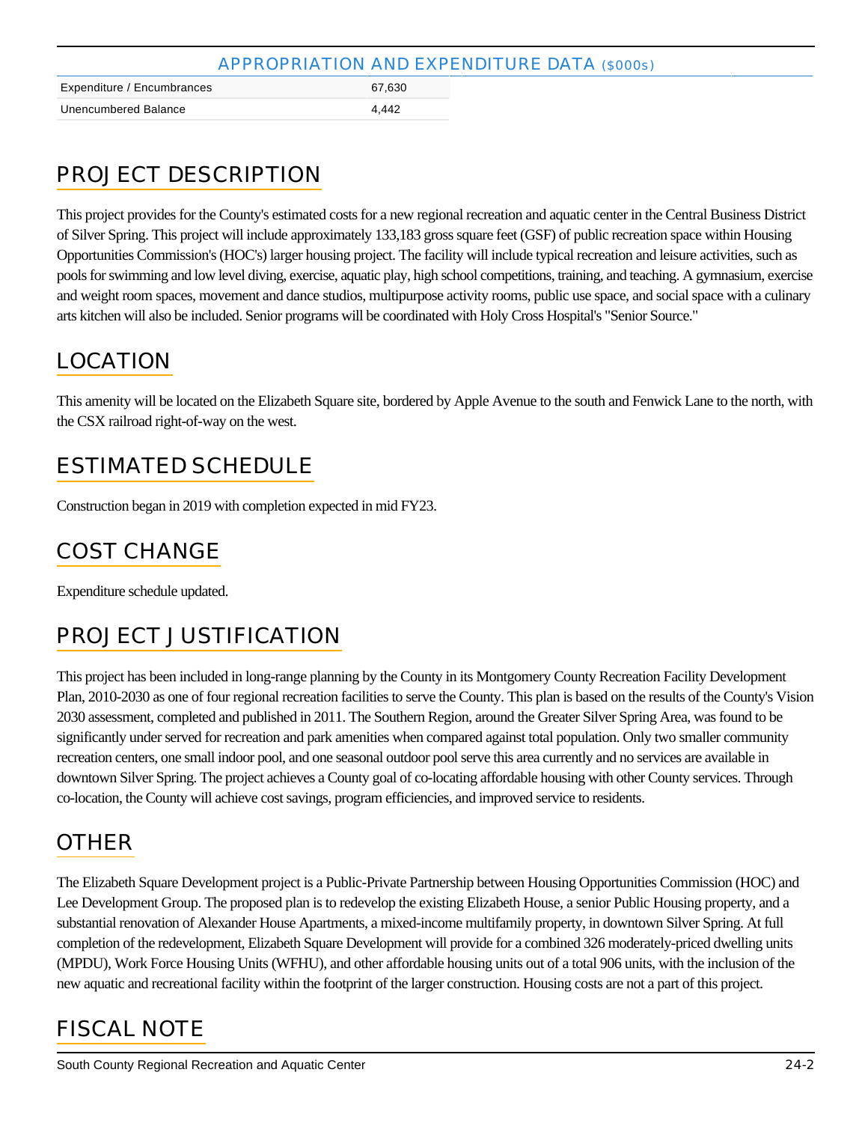| APPROPRIATION AND EXPENDITURE DATA (\$000s) |        |  |  |  |  |
|---------------------------------------------|--------|--|--|--|--|
| Expenditure / Encumbrances                  | 67.630 |  |  |  |  |
| Unencumbered Balance                        | 4.442  |  |  |  |  |

# PROJECT DESCRIPTION

This project provides for the County's estimated costs for a new regional recreation and aquatic center in the Central Business District of Silver Spring. This project will include approximately 133,183 gross square feet (GSF) of public recreation space within Housing Opportunities Commission's (HOC's) larger housing project. The facility will include typical recreation and leisure activities, such as pools for swimming and low level diving, exercise, aquatic play, high school competitions, training, and teaching. A gymnasium, exercise and weight room spaces, movement and dance studios, multipurpose activity rooms, public use space, and social space with a culinary arts kitchen will also be included. Senior programs will be coordinated with Holy Cross Hospital's "Senior Source."

### LOCATION

This amenity will be located on the Elizabeth Square site, bordered by Apple Avenue to the south and Fenwick Lane to the north, with the CSX railroad right-of-way on the west.

### ESTIMATED SCHEDULE

Construction began in 2019 with completion expected in mid FY23.

# COST CHANGE

Expenditure schedule updated.

### PROJECT JUSTIFICATION

This project has been included in long-range planning by the County in its Montgomery County Recreation Facility Development Plan, 2010-2030 as one of four regional recreation facilities to serve the County. This plan is based on the results of the County's Vision 2030 assessment, completed and published in 2011. The Southern Region, around the Greater Silver Spring Area, was found to be significantly under served for recreation and park amenities when compared against total population. Only two smaller community recreation centers, one small indoor pool, and one seasonal outdoor pool serve this area currently and no services are available in downtown Silver Spring. The project achieves a County goal of co-locating affordable housing with other County services. Through co-location, the County will achieve cost savings, program efficiencies, and improved service to residents.

### **OTHER**

The Elizabeth Square Development project is a Public-Private Partnership between Housing Opportunities Commission (HOC) and Lee Development Group. The proposed plan is to redevelop the existing Elizabeth House, a senior Public Housing property, and a substantial renovation of Alexander House Apartments, a mixed-income multifamily property, in downtown Silver Spring. At full completion of the redevelopment, Elizabeth Square Development will provide for a combined 326 moderately-priced dwelling units (MPDU), Work Force Housing Units (WFHU), and other affordable housing units out of a total 906 units, with the inclusion of the new aquatic and recreational facility within the footprint of the larger construction. Housing costs are not a part of this project.

# FISCAL NOTE